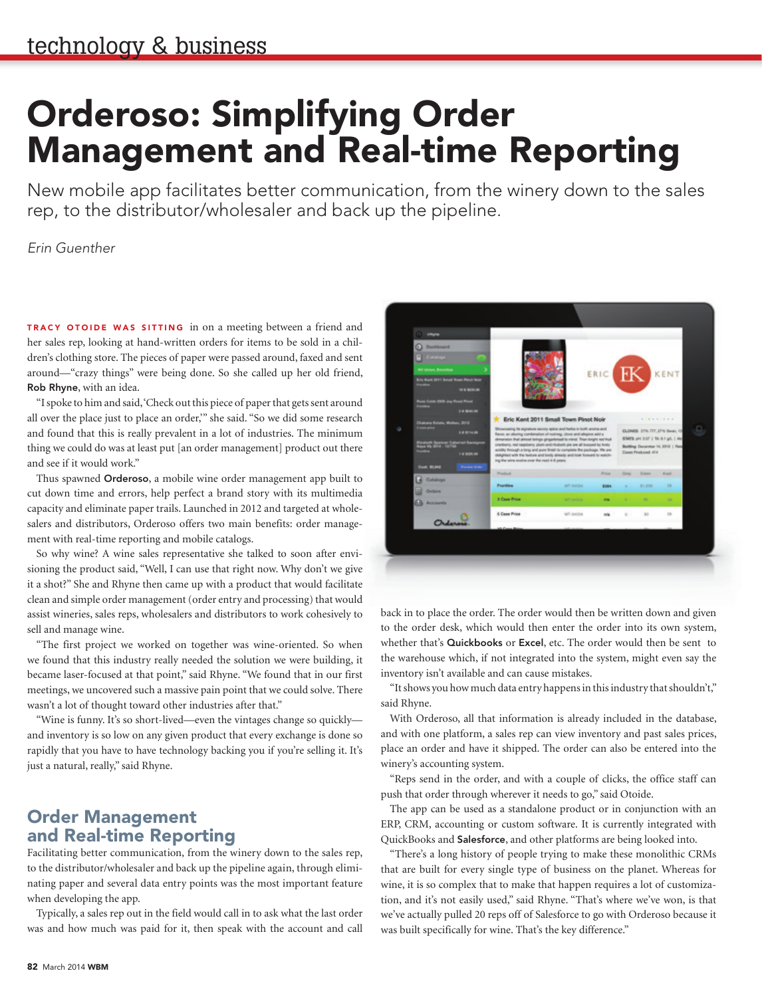## Orderoso: Simplifying Order Management and Real-time Reporting

New mobile app facilitates better communication, from the winery down to the sales rep, to the distributor/wholesaler and back up the pipeline.

*Erin Guenther*

TRACY OTOIDE WAS SITTING in on a meeting between a friend and her sales rep, looking at hand-written orders for items to be sold in a children's clothing store. The pieces of paper were passed around, faxed and sent around—"crazy things" were being done. So she called up her old friend, Rob Rhyne, with an idea.

"I spoke to him and said, 'Check out this piece of paper that gets sent around all over the place just to place an order,'" she said. "So we did some research and found that this is really prevalent in a lot of industries. The minimum thing we could do was at least put [an order management] product out there and see if it would work."

Thus spawned **Orderoso**, a mobile wine order management app built to cut down time and errors, help perfect a brand story with its multimedia capacity and eliminate paper trails. Launched in 2012 and targeted at wholesalers and distributors, Orderoso offers two main benefits: order management with real-time reporting and mobile catalogs.

So why wine? A wine sales representative she talked to soon after envisioning the product said, "Well, I can use that right now. Why don't we give it a shot?" She and Rhyne then came up with a product that would facilitate clean and simple order management (order entry and processing) that would assist wineries, sales reps, wholesalers and distributors to work cohesively to sell and manage wine.

"The first project we worked on together was wine-oriented. So when we found that this industry really needed the solution we were building, it became laser-focused at that point," said Rhyne. "We found that in our first meetings, we uncovered such a massive pain point that we could solve. There wasn't a lot of thought toward other industries after that."

"Wine is funny. It's so short-lived—even the vintages change so quickly and inventory is so low on any given product that every exchange is done so rapidly that you have to have technology backing you if you're selling it. It's just a natural, really," said Rhyne.

## Order Management and Real-time Reporting

Facilitating better communication, from the winery down to the sales rep, to the distributor/wholesaler and back up the pipeline again, through eliminating paper and several data entry points was the most important feature when developing the app.

Typically, a sales rep out in the field would call in to ask what the last order was and how much was paid for it, then speak with the account and call



back in to place the order. The order would then be written down and given to the order desk, which would then enter the order into its own system, whether that's **Quickbooks** or Excel, etc. The order would then be sent to the warehouse which, if not integrated into the system, might even say the inventory isn't available and can cause mistakes.

"It shows you how much data entry happens in this industry that shouldn't," said Rhyne.

With Orderoso, all that information is already included in the database, and with one platform, a sales rep can view inventory and past sales prices, place an order and have it shipped. The order can also be entered into the winery's accounting system.

"Reps send in the order, and with a couple of clicks, the office staff can push that order through wherever it needs to go," said Otoide.

The app can be used as a standalone product or in conjunction with an ERP, CRM, accounting or custom software. It is currently integrated with QuickBooks and Salesforce, and other platforms are being looked into.

"There's a long history of people trying to make these monolithic CRMs that are built for every single type of business on the planet. Whereas for wine, it is so complex that to make that happen requires a lot of customization, and it's not easily used," said Rhyne. "That's where we've won, is that we've actually pulled 20 reps off of Salesforce to go with Orderoso because it was built specifically for wine. That's the key difference."